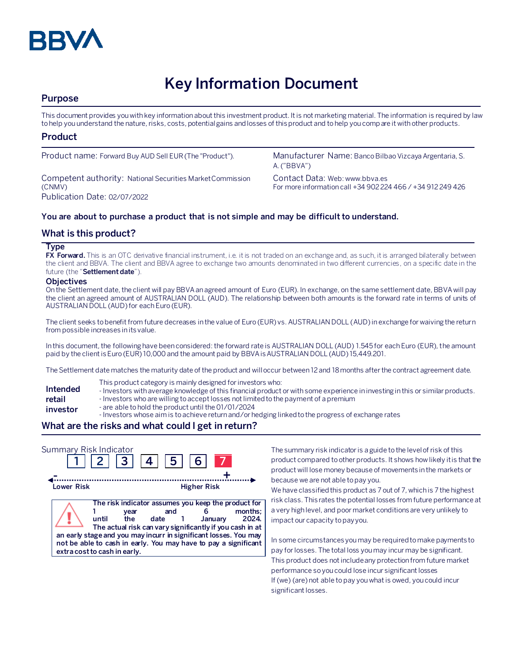

# **Key Information Document**

## **Purpose**

This document provides you with key information about this investment product. It is not marketing material. The information is required by law to help you understand the nature, risks, costs, potential gains and losses of this product and to help you compare it with other products.

### **Product**

Competent authority: National Securities Market Commission (CNMV) Publication Date: 02/07/2022

Product name: Forward Buy AUD Sell EUR (The "Product"). Manufacturer Name: Banco Bilbao Vizcaya Argentaria, S. A. ("BBVA")

> Contact Data: Web: www.bbva.es For more information call +34 902 224 466 / +34 912 249 426

#### **You are about to purchase a product that is not simple and may be difficult to understand.**

### **What is this product?**

#### **Type**

**FX Forward.** This is an OTC derivative financial instrument, i.e. it is not traded on an exchange and, as such, it is arranged bilaterally between the client and BBVA. The client and BBVA agree to exchange two amounts denominated in two different currencies, on a specific date in the future (the "**Settlement date**").

#### **Objectives**

On the Settlement date, the client will pay BBVA an agreed amount of Euro (EUR). In exchange, on the same settlement date, BBVA will pay the client an agreed amount of AUSTRALIAN DOLL (AUD). The relationship between both amounts is the forward rate in terms of units of AUSTRALIAN DOLL (AUD)for each Euro (EUR).

The client seeks to benefit from future decreases in the value of Euro (EUR) vs. AUSTRALIAN DOLL (AUD) in exchange for waiving the return from possible increases in its value.

In this document, the following have been considered: the forward rate is AUSTRALIAN DOLL (AUD) 1.545 for each Euro (EUR), the amount paid by the client is Euro (EUR) 10,000 and the amount paid by BBVA is AUSTRALIAN DOLL (AUD) 15,449.201.

The Settlement date matches the maturity date of the product and will occur between 12 and 18 months after the contract agreement date.

- This product category is mainly designed for investors who:
- **Intended**  - Investors with average knowledge of this financial product or with some experience in investing in this or similar products.
- **retail**  - Investors who are willing to accept losses not limited to the payment of a premium
- **investor** - are able to hold the product until the 01/01/2024
	- Investors whose aim is to achieve return and/or hedging linked to the progress of exchange rates

## **What are the risks and what could I get in return?**

| Summary Risk Indicator | 2  3  4                                              | 5                                                                                                                                                                                                                                                                       | 6 <sup>1</sup>     |                  |
|------------------------|------------------------------------------------------|-------------------------------------------------------------------------------------------------------------------------------------------------------------------------------------------------------------------------------------------------------------------------|--------------------|------------------|
| Lower Risk             |                                                      |                                                                                                                                                                                                                                                                         | <b>Higher Risk</b> |                  |
|                        | vear<br>the<br>until<br>extra cost to cash in early. | The risk indicator assumes you keep the product for<br>and<br>date 1<br>The actual risk can vary significantly if you cash in at<br>an early stage and you may incurr in significant losses. You may<br>not be able to cash in early. You may have to pay a significant | January            | months:<br>2024. |

The summary risk indicator is a guide to the level of risk of this product compared to other products. It shows how likely it is that the product will lose money because of movements in the markets or because we are not able to pay you.

We have classified this product as 7 out of 7, which is 7 the highest risk class. This rates the potential losses from future performance at a very high level, and poor market conditions are very unlikely to impact our capacity to pay you.

In some circumstances you may be required to make payments to pay for losses. The total loss you may incur may be significant. This product does not include any protection from future market performance so you could lose incur significant losses If (we) (are) not able to pay you what is owed, you could incur significant losses.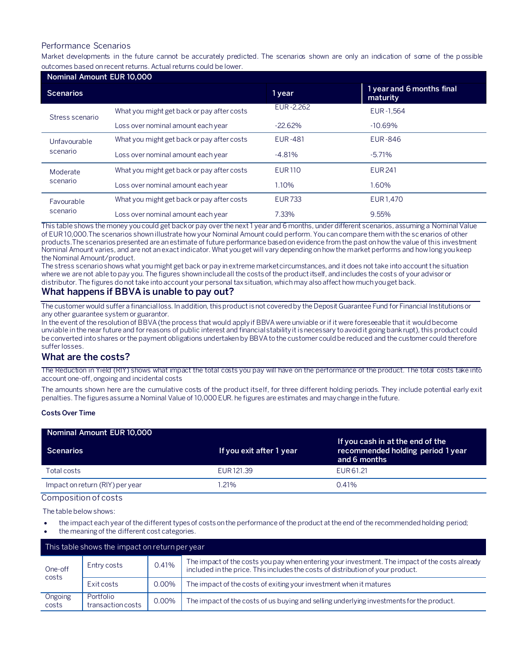### Performance Scenarios

Market developments in the future cannot be accurately predicted. The scenarios shown are only an indication of some of the p ossible outcomes based on recent returns. Actual returns could be lower.

| Nominal Amount EUR 10,000 |                                            |                |                                       |  |  |
|---------------------------|--------------------------------------------|----------------|---------------------------------------|--|--|
| <b>Scenarios</b>          |                                            | 1 year         | 1 year and 6 months final<br>maturity |  |  |
| Stress scenario           | What you might get back or pay after costs | EUR-2,262      | EUR-1.564                             |  |  |
|                           | Loss over nominal amount each year         | $-22.62%$      | $-10.69%$                             |  |  |
| Unfavourable<br>scenario  | What you might get back or pay after costs | <b>EUR-481</b> | <b>EUR-846</b>                        |  |  |
|                           | Loss over nominal amount each year         | $-4.81\%$      | $-5.71%$                              |  |  |
| Moderate<br>scenario      | What you might get back or pay after costs | <b>EUR110</b>  | <b>EUR241</b>                         |  |  |
|                           | Loss over nominal amount each year         | 1.10%          | 1.60%                                 |  |  |
| Favourable<br>scenario    | What you might get back or pay after costs | <b>EUR733</b>  | EUR1.470                              |  |  |
|                           | Loss over nominal amount each year         | 7.33%          | 9.55%                                 |  |  |

This table shows the money you could get back or pay over the next 1 year and 6 months, under different scenarios, assuming a Nominal Value of EUR 10,000.The scenarios shown illustrate how your Nominal Amount could perform. You can compare them with the scenarios of other products.The scenarios presented are an estimate of future performance based on evidence from the past on how the value of this investment Nominal Amount varies, and are not an exact indicator. What you get will vary depending on how the market performs and how long you keep the Nominal Amount/product.

The stress scenario shows what you might get back or pay in extreme market circumstances, and it does not take into account the situation where we are not able to pay you. The figures shown include all the costs of the product itself, and includes the costs of your advisor or distributor. The figures do not take into account your personal tax situation, which may also affect how much you get back.

# **What happens if BBVA is unable to pay out?**

The customer would suffer a financial loss. In addition, this product is not covered by the Deposit Guarantee Fund for Financial Institutions or any other guarantee system or guarantor.

In the event of the resolution of BBVA (the process that would apply if BBVA were unviable or if it were foreseeable that it would become unviable in the near future and for reasons of public interest and financial stability it is necessary to avoid it going bankrupt), this product could be converted into shares or the payment obligations undertaken by BBVA to the customer could be reduced and the customer could therefore suffer losses.

#### **What are the costs?**

The Reduction in Yield (RIY) shows what impact the total costs you pay will have on the performance of the product. The total costs take into account one-off, ongoing and incidental costs

The amounts shown here are the cumulative costs of the product itself, for three different holding periods. They include potential early exit penalties. The figures assume a Nominal Value of 10,000 EUR. he figures are estimates and may change in the future.

#### **Costs Over Time**

| Nominal Amount EUR 10,000       |                          |                                                                                       |
|---------------------------------|--------------------------|---------------------------------------------------------------------------------------|
| Scenarios                       | If you exit after 1 year | If you cash in at the end of the<br>recommended holding period 1 year<br>and 6 months |
| Total costs                     | EUR 121.39               | EUR 61.21                                                                             |
| Impact on return (RIY) per year | 1.21%                    | 0.41%                                                                                 |

# Composition of costs

The table below shows:

- the impact each year of the different types of costs on the performance of the product at the end of the recommended holding period;
- the meaning of the different cost categories.

| This table shows the impact on return per year |                                |          |                                                                                                                                                                                   |
|------------------------------------------------|--------------------------------|----------|-----------------------------------------------------------------------------------------------------------------------------------------------------------------------------------|
| One-off<br>costs                               | Entry costs                    | 0.41%    | The impact of the costs you pay when entering your investment. The impact of the costs already<br>included in the price. This includes the costs of distribution of your product. |
|                                                | Exit costs                     | 0.00%    | The impact of the costs of exiting your investment when it matures                                                                                                                |
| Ongoing<br>costs                               | Portfolio<br>transaction costs | $0.00\%$ | The impact of the costs of us buying and selling underlying investments for the product.                                                                                          |